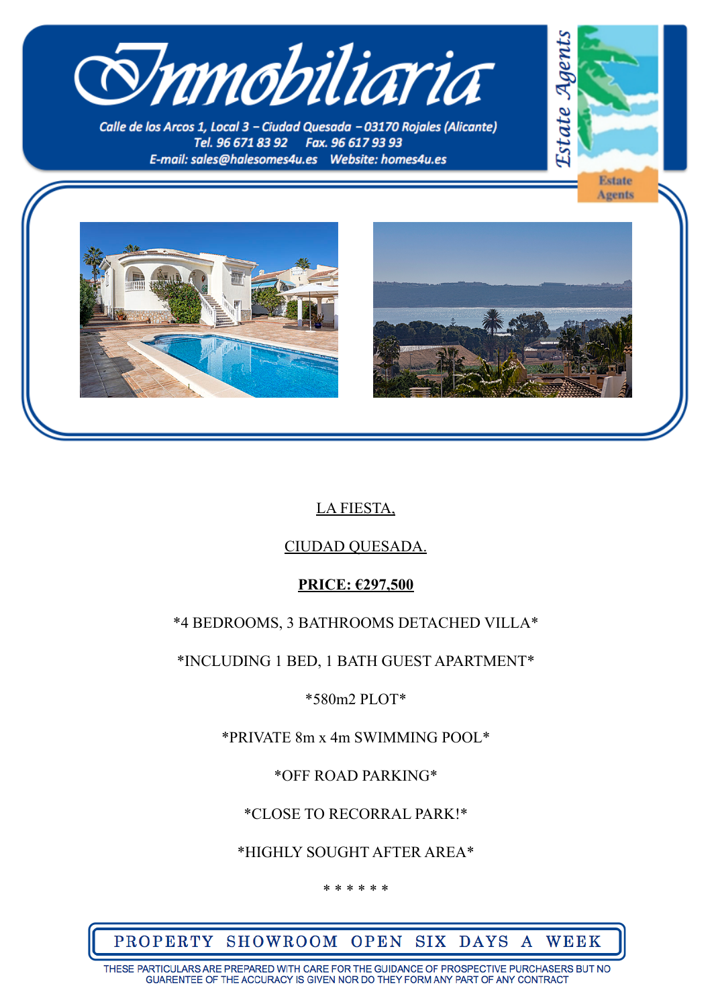

Calle de los Arcos 1, Local 3 - Ciudad Quesada - 03170 Roiales (Alicante) Tel. 96 671 83 92 Fax. 96 617 93 93 







# LA FIESTA,

## CIUDAD QUESADA.

### **PRICE: €297,500**

## \*4 BEDROOMS, 3 BATHROOMS DETACHED VILLA\*

\*INCLUDING 1 BED, 1 BATH GUEST APARTMENT\*

### \*580m2 PLOT\*

\*PRIVATE 8m x 4m SWIMMING POOL\*

\*OFF ROAD PARKING\*

\*CLOSE TO RECORRAL PARK!\*

\*HIGHLY SOUGHT AFTER AREA\*

\* \* \* \* \* \*

PROPERTY SHOWROOM OPEN SIX DAYS A WEEK

THESE PARTICULARS ARE PREPARED WITH CARE FOR THE GUIDANCE OF PROSPECTIVE PURCHASERS BUT NO GUARENTEE OF THE ACCURACY IS GIVEN NOR DO THEY FORM ANY PART OF ANY CONTRACT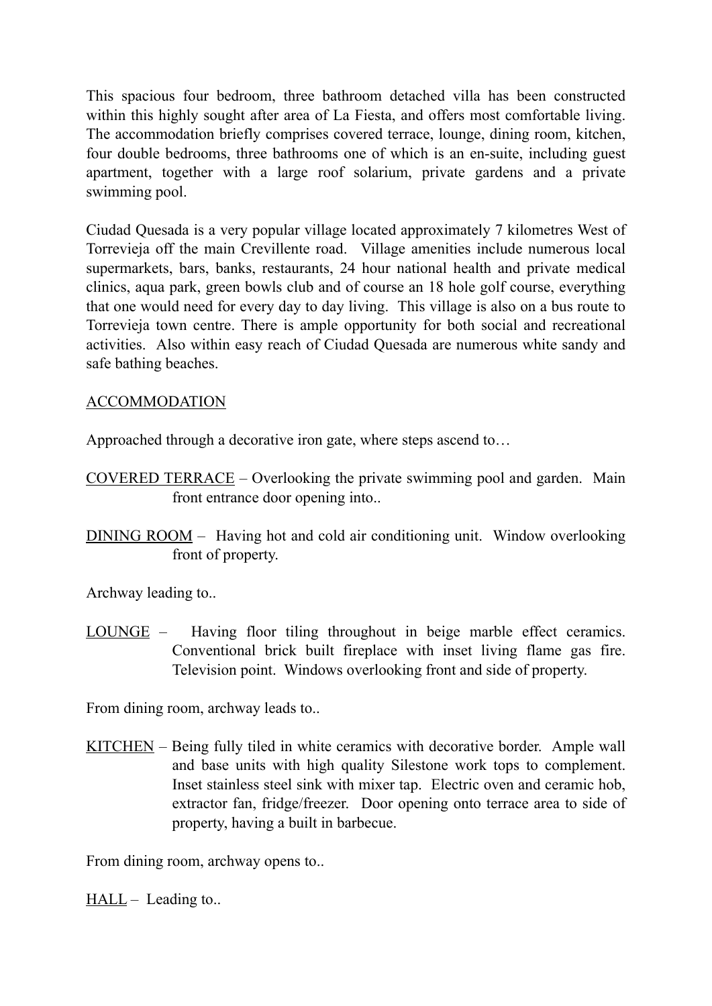This spacious four bedroom, three bathroom detached villa has been constructed within this highly sought after area of La Fiesta, and offers most comfortable living. The accommodation briefly comprises covered terrace, lounge, dining room, kitchen, four double bedrooms, three bathrooms one of which is an en-suite, including guest apartment, together with a large roof solarium, private gardens and a private swimming pool.

Ciudad Quesada is a very popular village located approximately 7 kilometres West of Torrevieja off the main Crevillente road. Village amenities include numerous local supermarkets, bars, banks, restaurants, 24 hour national health and private medical clinics, aqua park, green bowls club and of course an 18 hole golf course, everything that one would need for every day to day living. This village is also on a bus route to Torrevieja town centre. There is ample opportunity for both social and recreational activities. Also within easy reach of Ciudad Quesada are numerous white sandy and safe bathing beaches.

#### ACCOMMODATION

Approached through a decorative iron gate, where steps ascend to…

- COVERED TERRACE Overlooking the private swimming pool and garden. Main front entrance door opening into..
- DINING ROOM Having hot and cold air conditioning unit. Window overlooking front of property.

Archway leading to..

LOUNGE – Having floor tiling throughout in beige marble effect ceramics. Conventional brick built fireplace with inset living flame gas fire. Television point. Windows overlooking front and side of property.

From dining room, archway leads to..

KITCHEN – Being fully tiled in white ceramics with decorative border. Ample wall and base units with high quality Silestone work tops to complement. Inset stainless steel sink with mixer tap. Electric oven and ceramic hob, extractor fan, fridge/freezer. Door opening onto terrace area to side of property, having a built in barbecue.

From dining room, archway opens to...

 $HALL -$  Leading to...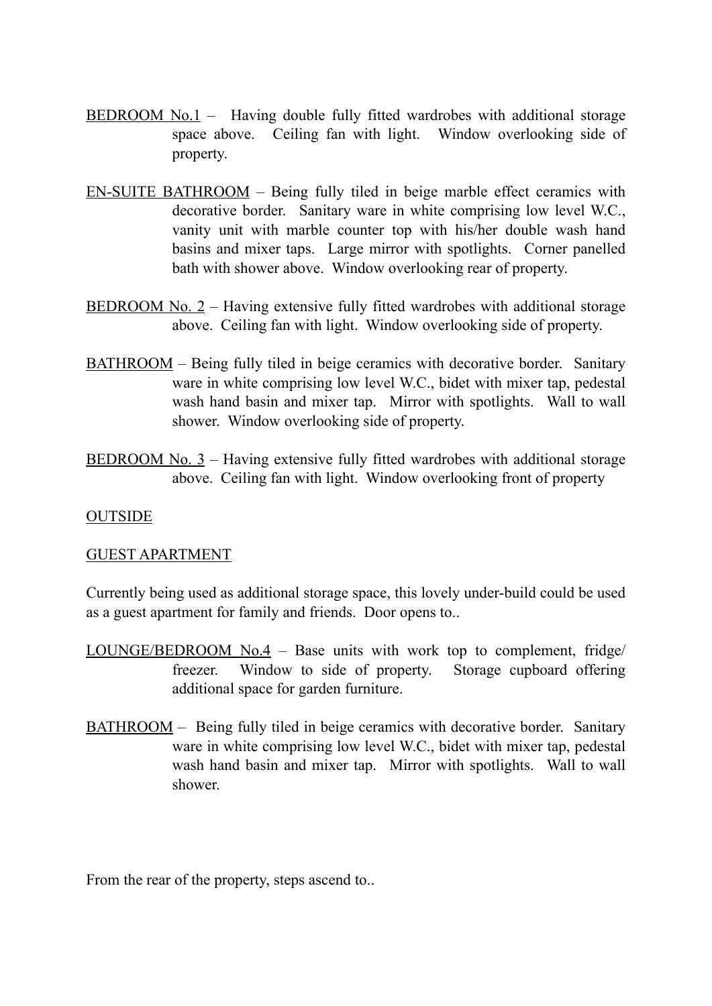- BEDROOM No.1 Having double fully fitted wardrobes with additional storage space above. Ceiling fan with light. Window overlooking side of property.
- EN-SUITE BATHROOM Being fully tiled in beige marble effect ceramics with decorative border. Sanitary ware in white comprising low level W.C., vanity unit with marble counter top with his/her double wash hand basins and mixer taps. Large mirror with spotlights. Corner panelled bath with shower above. Window overlooking rear of property.
- BEDROOM No. 2 Having extensive fully fitted wardrobes with additional storage above. Ceiling fan with light. Window overlooking side of property.
- BATHROOM Being fully tiled in beige ceramics with decorative border. Sanitary ware in white comprising low level W.C., bidet with mixer tap, pedestal wash hand basin and mixer tap. Mirror with spotlights. Wall to wall shower. Window overlooking side of property.
- BEDROOM No. 3 Having extensive fully fitted wardrobes with additional storage above. Ceiling fan with light. Window overlooking front of property

#### **OUTSIDE**

#### GUEST APARTMENT

Currently being used as additional storage space, this lovely under-build could be used as a guest apartment for family and friends. Door opens to..

- LOUNGE/BEDROOM No.4 Base units with work top to complement, fridge/ freezer. Window to side of property. Storage cupboard offering additional space for garden furniture.
- BATHROOM Being fully tiled in beige ceramics with decorative border. Sanitary ware in white comprising low level W.C., bidet with mixer tap, pedestal wash hand basin and mixer tap. Mirror with spotlights. Wall to wall shower.

From the rear of the property, steps ascend to...